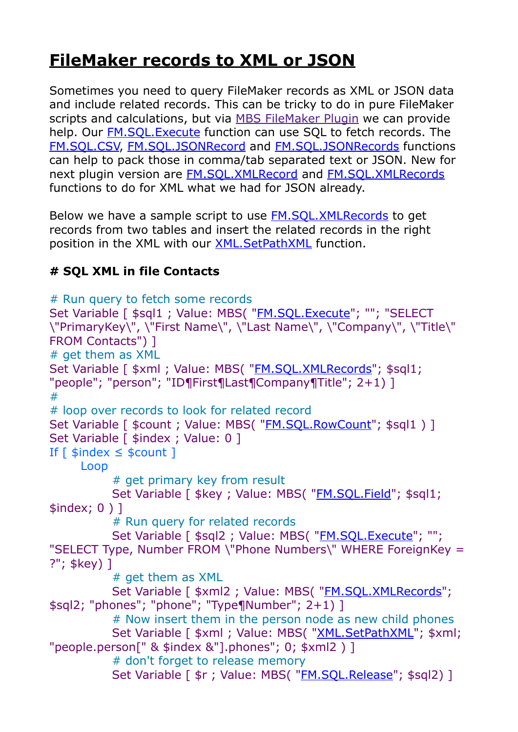## **[FileMaker records to XML or JSON](https://www.mbs-plugins.com/archive/2020-06-30/FileMaker_records_to_XML_or_JS/monkeybreadsoftware_blog_filemaker)**

Sometimes you need to query FileMaker records as XML or JSON data and include related records. This can be tricky to do in pure FileMaker scripts and calculations, but via [MBS FileMaker Plugin](https://www.monkeybreadsoftware.com/filemaker/) we can provide help. Our FM.SOL. Execute function can use SOL to fetch records. The [FM.SQL.CSV,](https://www.mbsplugins.eu/FMSQLCSV.shtml) [FM.SQL.JSONRecord](https://www.mbsplugins.eu/FMSQLJSONRecord.shtml) and [FM.SQL.JSONRecords](https://www.mbsplugins.eu/FMSQLJSONRecords.shtml) functions can help to pack those in comma/tab separated text or JSON. New for next plugin version are [FM.SQL.XMLRecord](https://www.mbsplugins.eu/FMSQLXMLRecord.shtml) and [FM.SQL.XMLRecords](https://www.mbsplugins.eu/FMSQLXMLRecords.shtml) functions to do for XML what we had for JSON already.

Below we have a sample script to use [FM.SQL.XMLRecords](https://www.mbsplugins.eu/FMSQLXMLRecords.shtml) to get records from two tables and insert the related records in the right position in the XML with our [XML.SetPathXML](https://www.mbsplugins.eu/XMLSetPathXML.shtml) function.

## **# SQL XML in file Contacts**

```
# Run query to fetch some records 
"FM.SQL.Execute"; ""; "SELECT
\"PrimaryKey\", \"First Name\", \"Last Name\", \"Company\", \"Title\" 
FROM Contacts") ] 
# get them as XML 
"FM.SQL.XMLRecords"; $sql1;
"people"; "person"; "ID¶First¶Last¶Company¶Title"; 2+1) ] 
# 
# loop over records to look for related record 
"FM.SQL.RowCount"; $sql1 ) ]
Set Variable [ $index ; Value: 0 ]
If \lceil $index \le $count \lceil Loop 
         # get primary key from result 
        FM.SQL.Field"; $sql1;
$index; 0 ) ] 
         # Run query for related records 
        "FM.SQL.Execute"; "";
"SELECT Type, Number FROM \"Phone Numbers\" WHERE ForeignKey = 
?"; $key) ] 
         # get them as XML 
        FM.SQL.XMLRecords";
$sql2; "phones"; "phone"; "Type¶Number"; 2+1) ] 
         # Now insert them in the person node as new child phones 
        "XML.SetPathXML"; $xml;
"people.person[" & $index &"].phones"; 0; $xml2 ) ] 
         # don't forget to release memory 
        FM.SQL.Release"; $sql2) ]
```